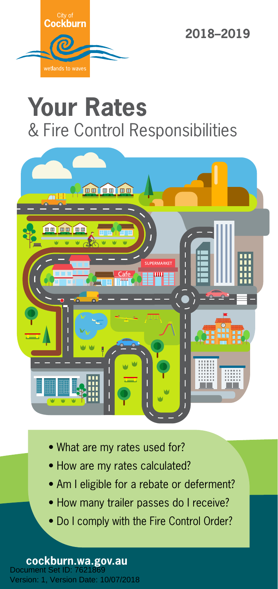

# **Your Rates**  & Fire Control Responsibilities



- What are my rates used for?
- How are my rates calculated?
- Am I eligible for a rebate or deferment?
- How many trailer passes do I receive?
- Do I comply with the Fire Control Order?

**cockburn.wa.gov.au**<br>Document Set ID: 7621869 Version: 1, Version Date: 10/07/2018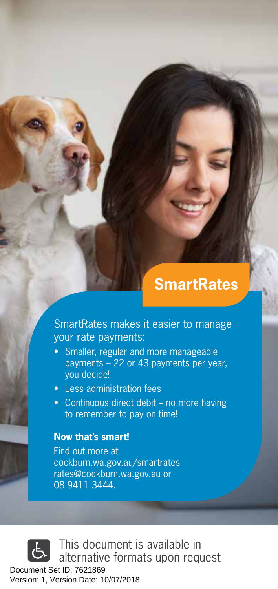# **SmartRates**

SmartRates makes it easier to manage your rate payments:

- Smaller, regular and more manageable payments – 22 or 43 payments per year, you decide!
- Less administration fees
- Continuous direct debit no more having to remember to pay on time!

#### **Now that's smart!**

Find out more at cockburn.wa.gov.au/smartrates rates@cockburn.wa.gov.au or 08 9411 3444.

This document is available in alternative formats upon request

Document Set ID: 7621869<br>Version: 1, Version Date: 10/07/2018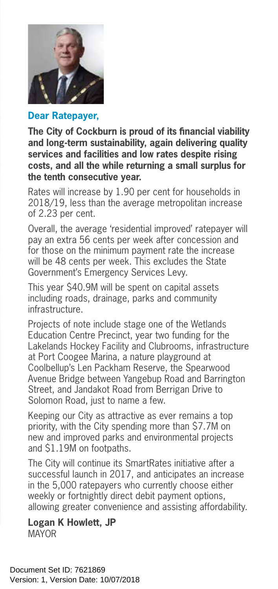

#### **Dear Ratepayer,**

**The City of Cockburn is proud of its financial viability and long-term sustainability, again delivering quality services and facilities and low rates despite rising costs, and all the while returning a small surplus for the tenth consecutive year.**

Rates will increase by 1.90 per cent for households in 2018/19, less than the average metropolitan increase of 2.23 per cent.

Overall, the average 'residential improved' ratepayer will pay an extra 56 cents per week after concession and for those on the minimum payment rate the increase will be 48 cents per week. This excludes the State Government's Emergency Services Levy.

This year \$40.9M will be spent on capital assets including roads, drainage, parks and community infrastructure.

Projects of note include stage one of the Wetlands Education Centre Precinct, year two funding for the Lakelands Hockey Facility and Clubrooms, infrastructure at Port Coogee Marina, a nature playground at Coolbellup's Len Packham Reserve, the Spearwood Avenue Bridge between Yangebup Road and Barrington Street, and Jandakot Road from Berrigan Drive to Solomon Road, just to name a few.

Keeping our City as attractive as ever remains a top priority, with the City spending more than \$7.7M on new and improved parks and environmental projects and \$1.19M on footpaths.

The City will continue its SmartRates initiative after a successful launch in 2017, and anticipates an increase in the 5,000 ratepayers who currently choose either weekly or fortnightly direct debit payment options, allowing greater convenience and assisting affordability.

**Logan K Howlett, JP** MAYOR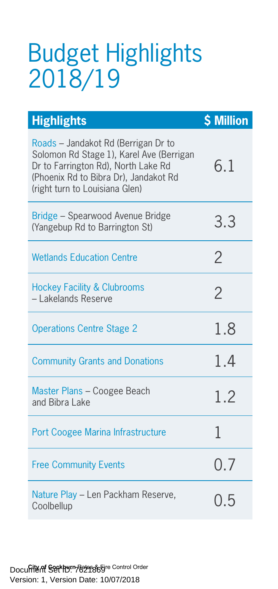# Budget Highlights 2018/19

| <b>Highlights</b>                                                                                                                                                                                 | <b>\$ Million</b> |
|---------------------------------------------------------------------------------------------------------------------------------------------------------------------------------------------------|-------------------|
| Roads - Jandakot Rd (Berrigan Dr to<br>Solomon Rd Stage 1), Karel Ave (Berrigan<br>Dr to Farrington Rd), North Lake Rd<br>(Phoenix Rd to Bibra Dr), Jandakot Rd<br>(right turn to Louisiana Glen) | 6.1               |
| Bridge - Spearwood Avenue Bridge<br>(Yangebup Rd to Barrington St)                                                                                                                                | 3.3               |
| <b>Wetlands Education Centre</b>                                                                                                                                                                  | 2                 |
| <b>Hockey Facility &amp; Clubrooms</b><br>- Lakelands Reserve                                                                                                                                     | $\overline{2}$    |
| <b>Operations Centre Stage 2</b>                                                                                                                                                                  | 1.8               |
| <b>Community Grants and Donations</b>                                                                                                                                                             | 1.4               |
| Master Plans - Coogee Beach<br>and Bibra Lake                                                                                                                                                     | 1.2               |
| Port Coogee Marina Infrastructure                                                                                                                                                                 | 1                 |
| <b>Free Community Events</b>                                                                                                                                                                      | 0.7               |
| Nature Play - Len Packham Reserve,<br>Coolbellup                                                                                                                                                  | 0.5               |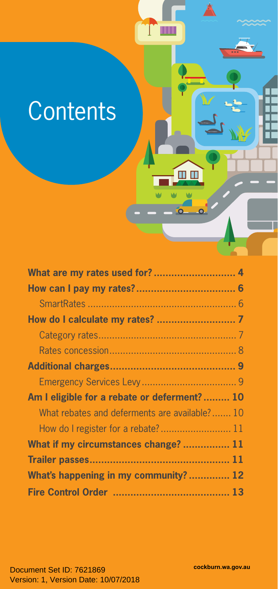# **Contents**

| Am I eligible for a rebate or deferment? 10   |  |
|-----------------------------------------------|--|
| What rebates and deferments are available? 10 |  |
|                                               |  |
| What if my circumstances change?  11          |  |
|                                               |  |
| What's happening in my community? 12          |  |
|                                               |  |

T

m n

П

M. M)  $\Delta$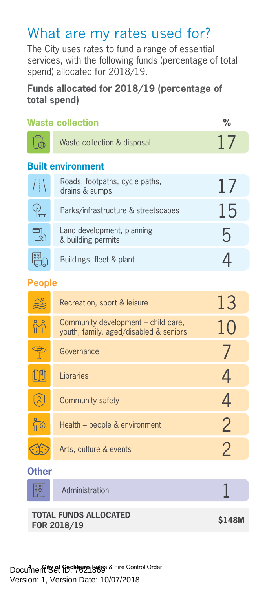# What are my rates used for?

The City uses rates to fund a range of essential services, with the following funds (percentage of total spend) allocated for 2018/19.

#### **Funds allocated for 2018/19 (percentage of total spend)**

| <b>Waste collection</b>                     | $\frac{0}{0}$                                                                 |                |  |
|---------------------------------------------|-------------------------------------------------------------------------------|----------------|--|
| ⊕                                           | Waste collection & disposal                                                   | 17             |  |
| <b>Built environment</b>                    |                                                                               |                |  |
| $/$   $\setminus$                           | Roads, footpaths, cycle paths,<br>drains & sumps                              | 17             |  |
| $P_{\! \! \! \! \textrm{m}}$                | Parks/infrastructure & streetscapes                                           | 15             |  |
| 라                                           | Land development, planning<br>& building permits                              | 5              |  |
| <b>ia</b> b                                 | Buildings, fleet & plant                                                      | 4              |  |
| <b>People</b>                               |                                                                               |                |  |
| ╩                                           | Recreation, sport & leisure                                                   | 13             |  |
| M                                           | Community development – child care,<br>youth, family, aged/disabled & seniors | 10             |  |
| $\mathbb{P}$                                | Governance                                                                    | 7              |  |
| $\mathbb{I}^{\mathsf{u}}$                   | Libraries                                                                     | 4              |  |
| ၐႝ                                          | Community safety                                                              | 4              |  |
| ြုပ                                         | Health – people & environment                                                 | $\overline{2}$ |  |
|                                             | Arts, culture & events                                                        | $\overline{2}$ |  |
| <b>Other</b>                                |                                                                               |                |  |
| <b>Boo</b>                                  | Administration                                                                |                |  |
| <b>TOTAL FUNDS ALLOCATED</b><br>FOR 2018/19 |                                                                               | <b>S148M</b>   |  |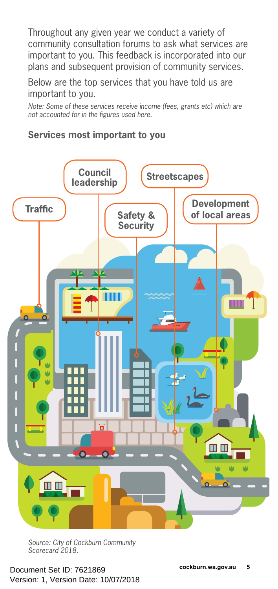Throughout any given year we conduct a variety of community consultation forums to ask what services are important to you. This feedback is incorporated into our plans and subsequent provision of community services.

Below are the top services that you have told us are important to you.

*Note: Some of these services receive income (fees, grants etc) which are not accounted for in the figures used here.*

#### **Services most important to you**



*Source: City of Cockburn Community Scorecard 2018.*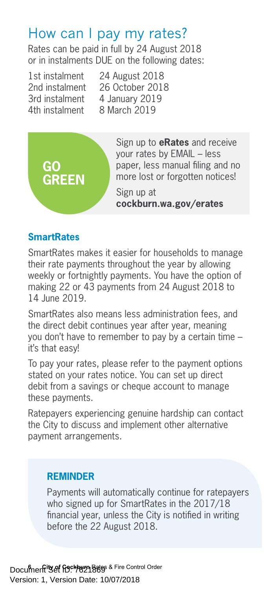## How can I pay my rates?

Rates can be paid in full by 24 August 2018 or in instalments DUE on the following dates:

4th instalment 8 March 2019

1st instalment 24 August 2018<br>2nd instalment 26 October 2018 26 October 2018 3rd instalment 4 January 2019



Sign up to **eRates** and receive your rates by EMAIL – less paper, less manual filing and no more lost or forgotten notices!

Sign up at **cockburn.wa.gov/erates**

#### **SmartRates**

SmartRates makes it easier for households to manage their rate payments throughout the year by allowing weekly or fortnightly payments. You have the option of making 22 or 43 payments from 24 August 2018 to 14 June 2019.

SmartRates also means less administration fees, and the direct debit continues year after year, meaning you don't have to remember to pay by a certain time – it's that easy!

To pay your rates, please refer to the payment options stated on your rates notice. You can set up direct debit from a savings or cheque account to manage these payments.

Ratepayers experiencing genuine hardship can contact the City to discuss and implement other alternative payment arrangements.

#### **REMINDER**

Payments will automatically continue for ratepayers who signed up for SmartRates in the 2017/18 financial year, unless the City is notified in writing before the 22 August 2018.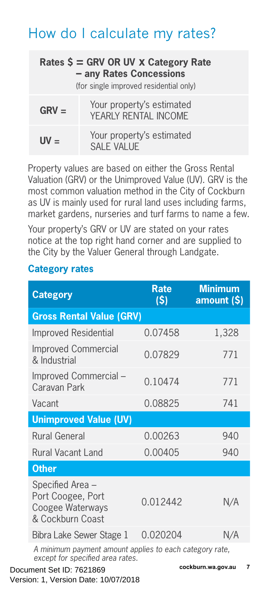# How do I calculate my rates?

| Rates $\zeta$ = GRV OR UV x Category Rate<br>- any Rates Concessions<br>(for single improved residential only) |                                                   |  |  |
|----------------------------------------------------------------------------------------------------------------|---------------------------------------------------|--|--|
| $GRV =$                                                                                                        | Your property's estimated<br>YEARLY RENTAL INCOME |  |  |
| $UV =$                                                                                                         | Your property's estimated<br>SAI F VALUE          |  |  |

Property values are based on either the Gross Rental Valuation (GRV) or the Unimproved Value (UV). GRV is the most common valuation method in the City of Cockburn as UV is mainly used for rural land uses including farms, market gardens, nurseries and turf farms to name a few.

Your property's GRV or UV are stated on your rates notice at the top right hand corner and are supplied to the City by the Valuer General through Landgate.

#### **Category rates**

| <b>Category</b>                                                                                                            | <b>Rate</b><br>(\$) | <b>Minimum</b><br>amount (\$) |
|----------------------------------------------------------------------------------------------------------------------------|---------------------|-------------------------------|
| <b>Gross Rental Value (GRV)</b>                                                                                            |                     |                               |
| Improved Residential                                                                                                       | 0.07458             | 1,328                         |
| <b>Improved Commercial</b><br>& Industrial                                                                                 | 0.07829             | 771                           |
| Improved Commercial -<br>Caravan Park                                                                                      | 0.10474             | 771                           |
| Vacant                                                                                                                     | 0.08825             | 741                           |
| <b>Unimproved Value (UV)</b>                                                                                               |                     |                               |
| <b>Rural General</b>                                                                                                       | 0.00263             | 940                           |
| <b>Rural Vacant Land</b>                                                                                                   | 0.00405             | 940                           |
| <b>Other</b>                                                                                                               |                     |                               |
| Specified Area -<br>Port Coogee, Port<br>Coogee Waterways<br>& Cockburn Coast                                              | 0.012442            | N/A                           |
| Bibra Lake Sewer Stage 1                                                                                                   | 0.020204            | N/A                           |
| A minimum payment amount applies to each category rate.<br>except for specified area rates.<br>ومدامس ومستحققات والمتسارين |                     |                               |

**6 Cocument Set ID: 7621869 Cockburn.wa.gov.au** Version: 1, Version Date: 10/07/2018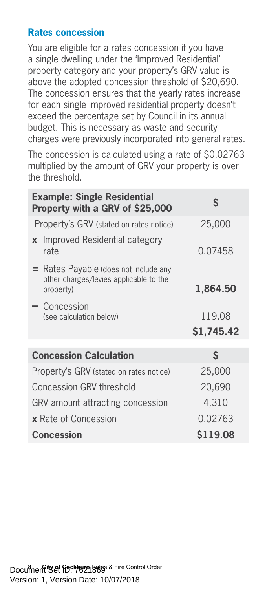#### **Rates concession**

You are eligible for a rates concession if you have a single dwelling under the 'Improved Residential' property category and your property's GRV value is above the adopted concession threshold of \$20,690. The concession ensures that the yearly rates increase for each single improved residential property doesn't exceed the percentage set by Council in its annual budget. This is necessary as waste and security charges were previously incorporated into general rates.

The concession is calculated using a rate of \$0.02763 multiplied by the amount of GRV your property is over the threshold.

| <b>Example: Single Residential</b><br>S<br>Property with a GRV of \$25,000                     |            |  |  |  |
|------------------------------------------------------------------------------------------------|------------|--|--|--|
| Property's GRV (stated on rates notice)                                                        | 25,000     |  |  |  |
| Improved Residential category<br>$\mathbf{x}$<br>rate                                          | 0.07458    |  |  |  |
| $=$ Rates Payable (does not include any<br>other charges/levies applicable to the<br>property) | 1,864.50   |  |  |  |
| $-$ Concession<br>(see calculation below)                                                      | 119.08     |  |  |  |
|                                                                                                | \$1,745.42 |  |  |  |
| <b>Concession Calculation</b>                                                                  | \$         |  |  |  |
|                                                                                                |            |  |  |  |
| Property's GRV (stated on rates notice)                                                        | 25,000     |  |  |  |
| Concession GRV threshold                                                                       | 20,690     |  |  |  |
| GRV amount attracting concession                                                               | 4,310      |  |  |  |
| <b>x</b> Rate of Concession                                                                    | 0.02763    |  |  |  |
| <b>Concession</b>                                                                              | \$119.08   |  |  |  |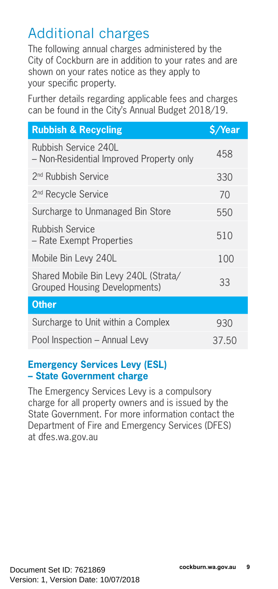# Additional charges

The following annual charges administered by the City of Cockburn are in addition to your rates and are shown on your rates notice as they apply to your specific property.

Further details regarding applicable fees and charges can be found in the City's Annual Budget 2018/19.

| <b>Rubbish &amp; Recycling</b>                                               | \$/Year |
|------------------------------------------------------------------------------|---------|
| Rubbish Service 240L<br>- Non-Residential Improved Property only             | 458     |
| 2 <sup>nd</sup> Rubbish Service                                              | 330     |
| 2 <sup>nd</sup> Recycle Service                                              | 70      |
| Surcharge to Unmanaged Bin Store                                             | 550     |
| <b>Rubbish Service</b><br>– Rate Exempt Properties                           | 510     |
| Mobile Bin Levy 240L                                                         | 100     |
| Shared Mobile Bin Levy 240L (Strata/<br><b>Grouped Housing Developments)</b> | 33      |
| <b>Other</b>                                                                 |         |
| Surcharge to Unit within a Complex                                           | 930     |
| Pool Inspection - Annual Levy                                                | 37.50   |
|                                                                              |         |

#### **Emergency Services Levy (ESL) – State Government charge**

The Emergency Services Levy is a compulsory charge for all property owners and is issued by the State Government. For more information contact the Department of Fire and Emergency Services (DFES) at dfes.wa.gov.au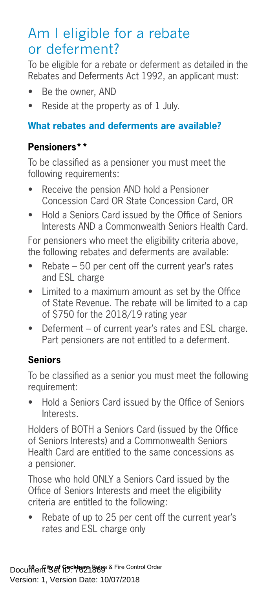## Am I eligible for a rebate or deferment?

To be eligible for a rebate or deferment as detailed in the Rebates and Deferments Act 1992, an applicant must:

- Be the owner, AND
- Reside at the property as of 1 July.

#### **What rebates and deferments are available?**

#### **Pensioners\*\***

To be classified as a pensioner you must meet the following requirements:

- Receive the pension AND hold a Pensioner Concession Card OR State Concession Card, OR
- Hold a Seniors Card issued by the Office of Seniors Interests AND a Commonwealth Seniors Health Card.

For pensioners who meet the eligibility criteria above, the following rebates and deferments are available:

- Rebate  $-50$  per cent off the current year's rates and ESL charge
- Limited to a maximum amount as set by the Office of State Revenue. The rebate will be limited to a cap of \$750 for the 2018/19 rating year
- Deferment of current year's rates and ESL charge. Part pensioners are not entitled to a deferment.

#### **Seniors**

To be classified as a senior you must meet the following requirement:

• Hold a Seniors Card issued by the Office of Seniors Interests.

Holders of BOTH a Seniors Card (issued by the Office of Seniors Interests) and a Commonwealth Seniors Health Card are entitled to the same concessions as a pensioner.

Those who hold ONLY a Seniors Card issued by the Office of Seniors Interests and meet the eligibility criteria are entitled to the following:

• Rebate of up to 25 per cent off the current year's rates and ESL charge only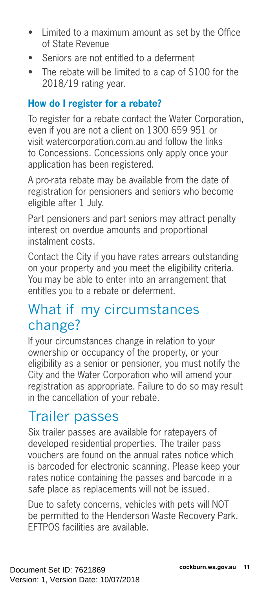- Limited to a maximum amount as set by the Office of State Revenue
- Seniors are not entitled to a deferment
- The rebate will be limited to a cap of \$100 for the 2018/19 rating year.

#### **How do I register for a rebate?**

To register for a rebate contact the Water Corporation, even if you are not a client on 1300 659 951 or visit watercorporation.com.au and follow the links to Concessions. Concessions only apply once your application has been registered.

A pro-rata rebate may be available from the date of registration for pensioners and seniors who become eligible after 1 July.

Part pensioners and part seniors may attract penalty interest on overdue amounts and proportional instalment costs.

Contact the City if you have rates arrears outstanding on your property and you meet the eligibility criteria. You may be able to enter into an arrangement that entitles you to a rebate or deferment.

## What if my circumstances change?

If your circumstances change in relation to your ownership or occupancy of the property, or your eligibility as a senior or pensioner, you must notify the City and the Water Corporation who will amend your registration as appropriate. Failure to do so may result in the cancellation of your rebate.

## Trailer passes

Six trailer passes are available for ratepayers of developed residential properties. The trailer pass vouchers are found on the annual rates notice which is barcoded for electronic scanning. Please keep your rates notice containing the passes and barcode in a safe place as replacements will not be issued.

Due to safety concerns, vehicles with pets will NOT be permitted to the Henderson Waste Recovery Park. EFTPOS facilities are available.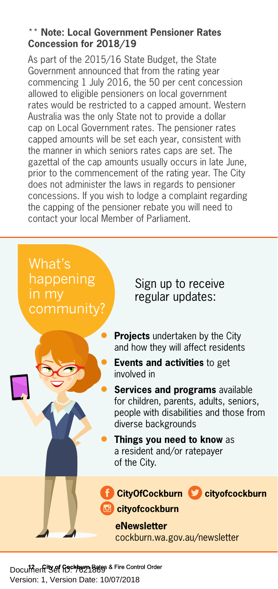#### \*\* **Note: Local Government Pensioner Rates Concession for 2018/19**

As part of the 2015/16 State Budget, the State Government announced that from the rating year commencing 1 July 2016, the 50 per cent concession allowed to eligible pensioners on local government rates would be restricted to a capped amount. Western Australia was the only State not to provide a dollar cap on Local Government rates. The pensioner rates capped amounts will be set each year, consistent with the manner in which seniors rates caps are set. The gazettal of the cap amounts usually occurs in late June, prior to the commencement of the rating year. The City does not administer the laws in regards to pensioner concessions. If you wish to lodge a complaint regarding the capping of the pensioner rebate you will need to contact your local Member of Parliament.



**Document & Cockburn Bates & Fire Control Order** Version: 1, Version Date: 10/07/2018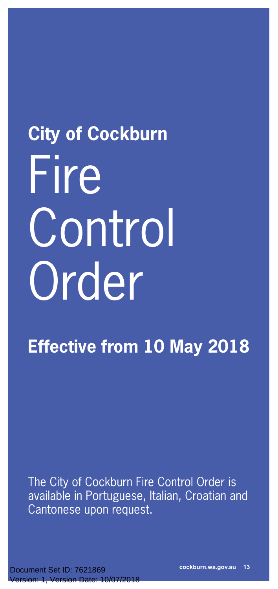# **City of Cockburn** Fire **Control** Order

**Effective from 10 May 2018** 

The City of Cockburn Fire Control Order is available in Portuguese, Italian, Croatian and Cantonese upon request.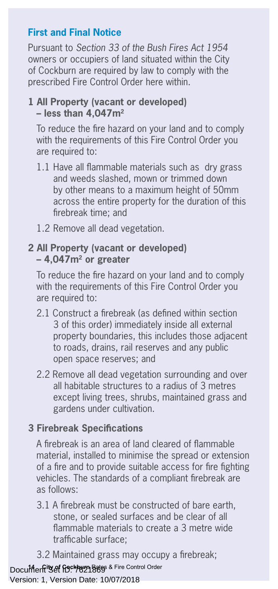#### **First and Final Notice**

Pursuant to *Section 33 of the Bush Fires Act 1954* owners or occupiers of land situated within the City of Cockburn are required by law to comply with the prescribed Fire Control Order here within.

#### **1 All Property (vacant or developed) – less than 4,047m2**

To reduce the fire hazard on your land and to comply with the requirements of this Fire Control Order you are required to:

- 1.1 Have all flammable materials such as dry grass and weeds slashed, mown or trimmed down by other means to a maximum height of 50mm across the entire property for the duration of this firebreak time; and
- 1.2 Remove all dead vegetation.

#### **2 All Property (vacant or developed) – 4,047m2 or greater**

To reduce the fire hazard on your land and to comply with the requirements of this Fire Control Order you are required to:

- 2.1 Construct a firebreak (as defined within section 3 of this order) immediately inside all external property boundaries, this includes those adjacent to roads, drains, rail reserves and any public open space reserves; and
- 2.2 Remove all dead vegetation surrounding and over all habitable structures to a radius of 3 metres except living trees, shrubs, maintained grass and gardens under cultivation.

#### **3 Firebreak Specifications**

A firebreak is an area of land cleared of flammable material, installed to minimise the spread or extension of a fire and to provide suitable access for fire fighting vehicles. The standards of a compliant firebreak are as follows:

- 3.1 A firebreak must be constructed of bare earth, stone, or sealed surfaces and be clear of all flammable materials to create a 3 metre wide trafficable surface;
- 3.2 Maintained grass may occupy a firebreak;

**Documents of Gockburn Bates & Fire Control Order** 

Version: 1, Version Date: 10/07/2018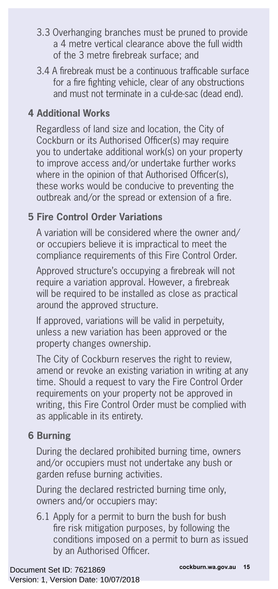- 3.3 Overhanging branches must be pruned to provide a 4 metre vertical clearance above the full width of the 3 metre firebreak surface; and
- 3.4 A firebreak must be a continuous trafficable surface for a fire fighting vehicle, clear of any obstructions and must not terminate in a cul-de-sac (dead end).

#### **4 Additional Works**

Regardless of land size and location, the City of Cockburn or its Authorised Officer(s) may require you to undertake additional work(s) on your property to improve access and/or undertake further works where in the opinion of that Authorised Officer(s). these works would be conducive to preventing the outbreak and/or the spread or extension of a fire.

#### **5 Fire Control Order Variations**

A variation will be considered where the owner and/ or occupiers believe it is impractical to meet the compliance requirements of this Fire Control Order.

Approved structure's occupying a firebreak will not require a variation approval. However, a firebreak will be required to be installed as close as practical around the approved structure.

If approved, variations will be valid in perpetuity, unless a new variation has been approved or the property changes ownership.

The City of Cockburn reserves the right to review, amend or revoke an existing variation in writing at any time. Should a request to vary the Fire Control Order requirements on your property not be approved in writing, this Fire Control Order must be complied with as applicable in its entirety.

#### **6 Burning**

During the declared prohibited burning time, owners and/or occupiers must not undertake any bush or garden refuse burning activities.

During the declared restricted burning time only, owners and/or occupiers may:

6.1 Apply for a permit to burn the bush for bush fire risk mitigation purposes, by following the conditions imposed on a permit to burn as issued by an Authorised Officer.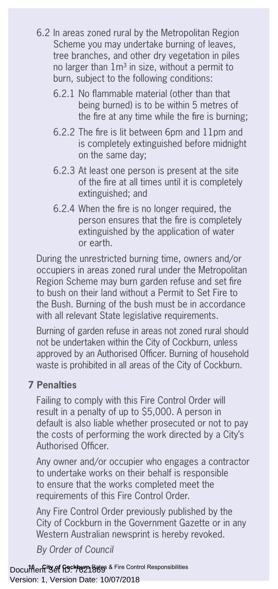- 6.2 In areas zoned rural by the Metropolitan Region Scheme you may undertake burning of leaves, tree branches, and other dry vegetation in piles no larger than  $1m<sup>3</sup>$  in size, without a permit to burn, subject to the following conditions:
	- 6.2.1 No flammable material (other than that being burned) is to be within 5 metres of the fire at any time while the fire is burning;
	- 6.2.2 The fire is lit between 6pm and 11pm and is completely extinguished before midnight on the same day;
	- 6.2.3 At least one person is present at the site of the fire at all times until it is completely extinguished; and
	- 6.2.4 When the fire is no longer required, the person ensures that the fire is completely extinguished by the application of water or earth.

During the unrestricted burning time, owners and/or occupiers in areas zoned rural under the Metropolitan Region Scheme may burn garden refuse and set fire to bush on their land without a Permit to Set Fire to the Bush. Burning of the bush must be in accordance with all relevant State legislative requirements.

Burning of garden refuse in areas not zoned rural should not be undertaken within the City of Cockburn, unless approved by an Authorised Officer. Burning of household waste is prohibited in all areas of the City of Cockburn.

#### **7 Penalties**

Failing to comply with this Fire Control Order will result in a penalty of up to \$5,000. A person in default is also liable whether prosecuted or not to pay the costs of performing the work directed by a City's Authorised Officer.

Any owner and/or occupier who engages a contractor to undertake works on their behalf is responsible to ensure that the works completed meet the requirements of this Fire Control Order.

Any Fire Control Order previously published by the City of Cockburn in the Government Gazette or in any Western Australian newsprint is hereby revoked.

*By Order of Council*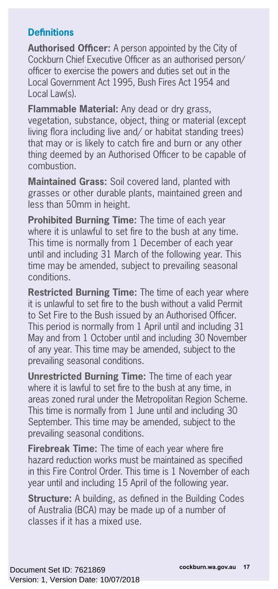#### **Definitions**

**Authorised Officer:** A person appointed by the City of Cockburn Chief Executive Officer as an authorised person/ officer to exercise the powers and duties set out in the Local Government Act 1995, Bush Fires Act 1954 and Local Law(s)

**Flammable Material:** Any dead or dry grass, vegetation, substance, object, thing or material (except living flora including live and/ or habitat standing trees) that may or is likely to catch fire and burn or any other thing deemed by an Authorised Officer to be capable of combustion.

**Maintained Grass:** Soil covered land, planted with grasses or other durable plants, maintained green and less than 50mm in height.

**Prohibited Burning Time:** The time of each year where it is unlawful to set fire to the bush at any time. This time is normally from 1 December of each year until and including 31 March of the following year. This time may be amended, subject to prevailing seasonal conditions.

**Restricted Burning Time:** The time of each year where it is unlawful to set fire to the bush without a valid Permit to Set Fire to the Bush issued by an Authorised Officer. This period is normally from 1 April until and including 31 May and from 1 October until and including 30 November of any year. This time may be amended, subject to the prevailing seasonal conditions.

**Unrestricted Burning Time:** The time of each year where it is lawful to set fire to the bush at any time, in areas zoned rural under the Metropolitan Region Scheme. This time is normally from 1 June until and including 30 September. This time may be amended, subject to the prevailing seasonal conditions.

**Firebreak Time:** The time of each year where fire hazard reduction works must be maintained as specified in this Fire Control Order. This time is 1 November of each year until and including 15 April of the following year.

**Structure:** A building, as defined in the Building Codes of Australia (BCA) may be made up of a number of classes if it has a mixed use.